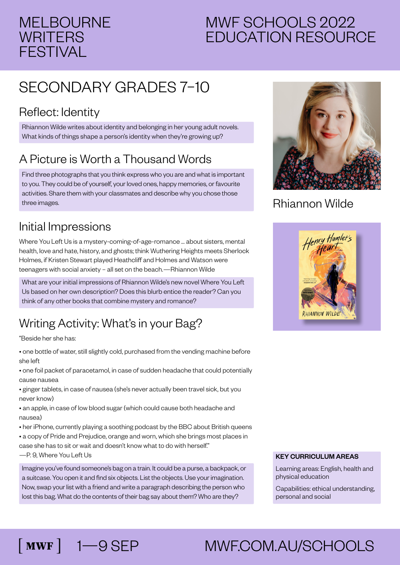## MELBOURNE **WRITERS** FESTIVAL

# MWF SCHOOLS 2022 EDUCATION RESOURCE

# SECONDARY GRADES 7–10

#### Reflect: Identity

Rhiannon Wilde writes about identity and belonging in her young adult novels. What kinds of things shape a person's identity when they're growing up?

## A Picture is Worth a Thousand Words

Find three photographs that you think express who you are and what is important to you. They could be of yourself, your loved ones, happy memories, or favourite activities. Share them with your classmates and describe why you chose those three images.

#### Initial Impressions

Where You Left Us is a mystery-coming-of-age-romance … about sisters, mental health, love and hate, history, and ghosts; think Wuthering Heights meets Sherlock Holmes, if Kristen Stewart played Heathcliff and Holmes and Watson were teenagers with social anxiety – all set on the beach.—Rhiannon Wilde

What are your initial impressions of Rhiannon Wilde's new novel Where You Left Us based on her own description? Does this blurb entice the reader? Can you think of any other books that combine mystery and romance?

## Writing Activity: What's in your Bag?

"Beside her she has:

- one bottle of water, still slightly cold, purchased from the vending machine before she left
- one foil packet of paracetamol, in case of sudden headache that could potentially cause nausea

• ginger tablets, in case of nausea (she's never actually been travel sick, but you never know)

• an apple, in case of low blood sugar (which could cause both headache and nausea)

• her iPhone, currently playing a soothing podcast by the BBC about British queens • a copy of Pride and Prejudice, orange and worn, which she brings most places in case she has to sit or wait and doesn't know what to do with herself" —P. 9, Where You Left Us

Imagine you've found someone's bag on a train. It could be a purse, a backpack, or a suitcase. You open it and find six objects. List the objects. Use your imagination. Now, swap your list with a friend and write a paragraph describing the person who lost this bag. What do the contents of their bag say about them? Who are they?



#### Rhiannon Wilde



#### KEY CURRICULUM AREAS

Learning areas: English, health and physical education

Capabilities: ethical understanding, personal and social

# 1—9 SEP MWF.COM.AU/SCHOOLS